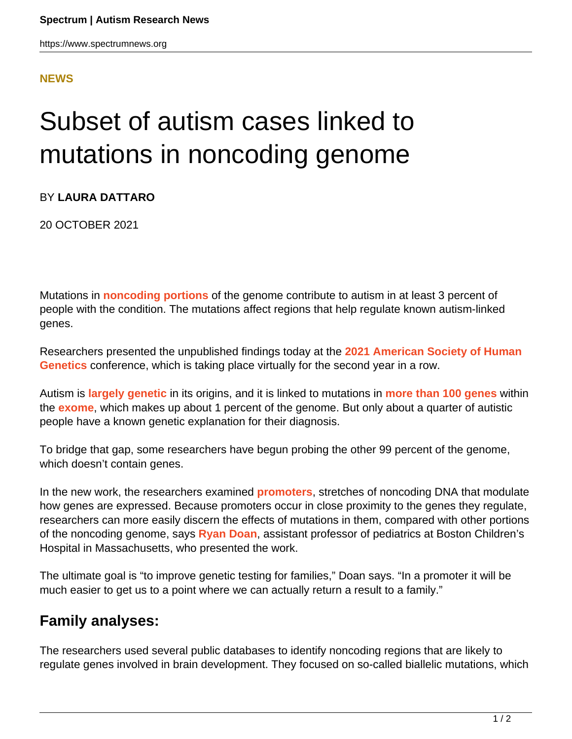## **[NEWS](HTTPS://WWW.SPECTRUMNEWS.ORG/NEWS/)**

## Subset of autism cases linked to mutations in noncoding genome

BY **LAURA DATTARO**

20 OCTOBER 2021

Mutations in **[noncoding portions](https://eventpilotadmin.com/web/page.php?page=Session&project=ASHG21&id=P1362)** of the genome contribute to autism in at least 3 percent of people with the condition. The mutations affect regions that help regulate known autism-linked genes.

Researchers presented the unpublished findings today at the **[2021 American Society of Human](https://www.spectrumnews.org/conference-news/american-society-of-human-genetics-2021/) [Genetics](https://www.spectrumnews.org/conference-news/american-society-of-human-genetics-2021/)** conference, which is taking place virtually for the second year in a row.

Autism is **[largely genetic](https://www.spectrumnews.org/news/genetic-testing-autism-explained/)** in its origins, and it is linked to mutations in **[more than 100 genes](https://www.spectrumnews.org/news/analysis-sequences-pegs-102-top-autism-genes/)** within the **[exome](http://spectrumnews.org/wiki/exome)**, which makes up about 1 percent of the genome. But only about a quarter of autistic people have a known genetic explanation for their diagnosis.

To bridge that gap, some researchers have begun probing the other 99 percent of the genome, which doesn't contain genes.

In the new work, the researchers examined **[promoters](https://www.spectrumnews.org/news/analysis-spotlights-mutations-dark-regions-genome/)**, stretches of noncoding DNA that modulate how genes are expressed. Because promoters occur in close proximity to the genes they regulate, researchers can more easily discern the effects of mutations in them, compared with other portions of the noncoding genome, says **[Ryan Doan](https://www.doanlab.org/people)**, assistant professor of pediatrics at Boston Children's Hospital in Massachusetts, who presented the work.

The ultimate goal is "to improve genetic testing for families," Doan says. "In a promoter it will be much easier to get us to a point where we can actually return a result to a family."

## **Family analyses:**

The researchers used several public databases to identify noncoding regions that are likely to regulate genes involved in brain development. They focused on so-called biallelic mutations, which